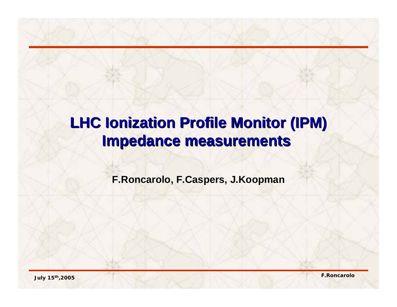# **LHC Ionization Profile Monitor (IPM) LHC Ionization Profile Monitor (IPM) Impedance measurements Impedance measurements**

**F.Roncarolo F.Roncarolo, F.Caspers F.Caspers, J.Koopman J.Koopman**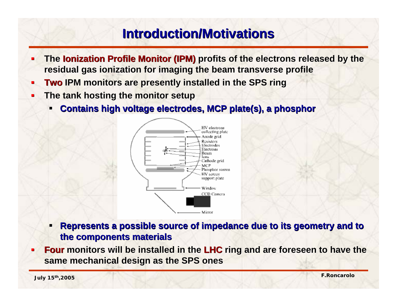### **Introduction/Motivations Introduction/Motivations**

- The **Ionization Profile Monitor (IPM)** profits of the electrons released by the **residual gas ionization for imaging the beam transverse profile**
- **Two IPM monitors are presently installed in the SPS ring**
- $\blacksquare$  **The tank hosting the monitor setup The tank hosting the monitor setup**
	- $\blacksquare$ **Contains high voltage electrodes, MCP plate(s), a phosphor**



- **Represents a possible source of impedance due to its geometry and to the components materials the components materials**
- Г Four monitors will be installed in the LHC ring and are foreseen to have the **same mechanical design as the SPS ones**

**July 15th,2005 F.Roncarolo**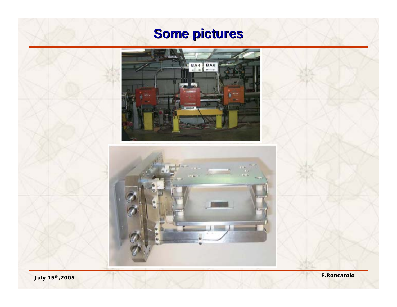# **Some pictures**





**July 15th,2005 F.Roncarolo**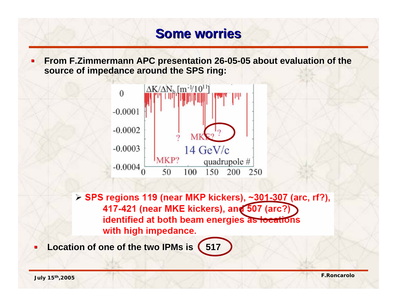### **Some worries**

**FIGM F.Zimmermann APC presentation 26-05-05 about evaluation of the 11.1 about evaluation of the 11.1 about 20 about 20 about 20 about 20 about 20 about 20 about 20 about 20 about 20 about 20 about 20 about 20 about 20 ab source of impedance around the SPS ring: source of impedance around the SPS ring:**



> SPS regions 119 (near MKP kickers), ~301-307 (arc, rf?), 417-421 (near MKE kickers), and 507 (arc?) identified at both beam energies as locations with high impedance.

**Location of one of the two IPMs is (517** 

 $\blacksquare$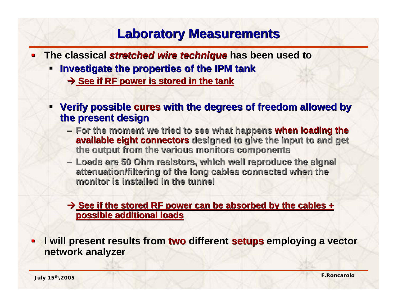#### **Laboratory Measurements Laboratory Measurements**

- **The classical** *stretched wire technique* **has been used to** 
	- п **Investigate the properties of the IPM tank Investigate the properties of the IPM tank** 
		- Æ **See if RF power is stored in the tank See if RF power is stored in the tank**
	- **EXERVIFY POSSIble cures with the degrees of freedom allowed by the present design the present design**
		- **For the moment we tried to see what happens when loading the available eight connectors** designed to give the input to and get **the output from the various monitors components the output from the various monitors components**
		- **Loads are 50 Ohm resistors, wh Loads are 50 Ohm resistors, which well reproduce the signal ich well reproduce the signal**  attenuation/filtering of the long cables connected when the **monitor is installed in the tunnel monitor is installed in the tunnel**

→ See if the stored RF power can be absorbed by the cables + **possible additional loads possible additional loads**

**I will present results from two different setups employing a vector network analyzer network analyzer**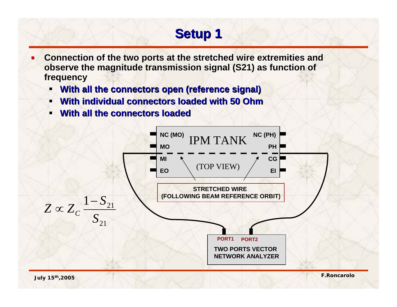# **Setup 1 Setup 1**

- **Connection of the two ports at the stretched wire extremities and observe the magnitude transmission signal (S21) as function of frequency frequency**
	- ш. **With all the connectors open (reference signal) With all the connectors open (reference signal)**
	- $\blacksquare$ **With individual connectors loaded with 50 Ohm**
	- **With all the connectors loaded**

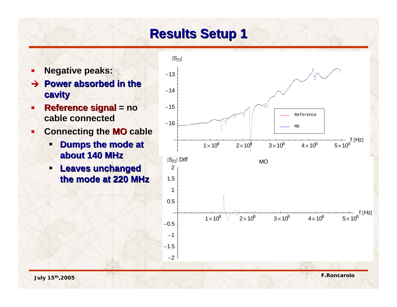### **Results Setup 1 Results Setup 1**

- **Negative peaks:**
- $\rightarrow$  Power absorbed in the **cavity**
- $\blacksquare$  **Reference signal Reference signal = no cable connected cable connected**
- $\blacksquare$ **Connecting the MO cable** 
	- $\blacksquare$ **Dumps the mode at about 140 MHz about 140 MHz**
	- $\blacksquare$  **Leaves unchanged Leaves unchanged the mode at 220 MHz the mode at 220 MHz**

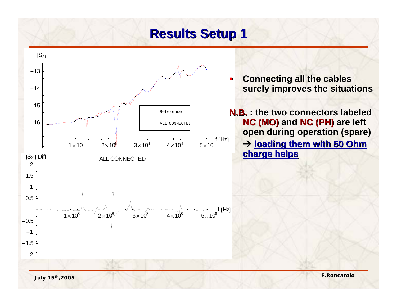#### **Results Setup 1 Results Setup 1**



**Connecting all the cables surely improves the situations surely improves the situations**

**N.B.** : the two connectors labeled **NC (MO)** and **NC (PH)** are left **open during operation (spare) open during operation (spare)**

 $\rightarrow$  loading them with 50 Ohm **charge helps charge helps**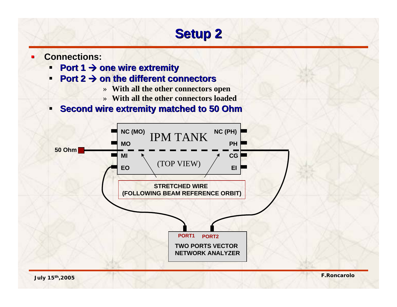## **Setup 2 Setup 2**

- **Connections: Connections:**
	- $\blacksquare$ ■ Port 1 → one wire extremity
	- $\blacksquare$ **Port 2**  $\rightarrow$  **on the different connectors** 
		- » **With all the other connectors open**
		- » **With all the other connectors loaded**
	- **Second wire extremity matched to 50 Ohm**

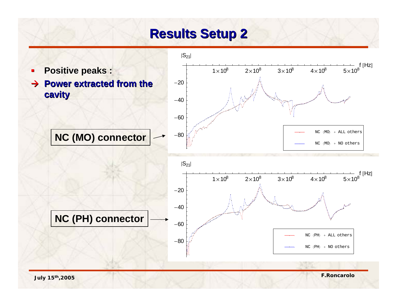### **Results Setup 2 Results Setup 2**